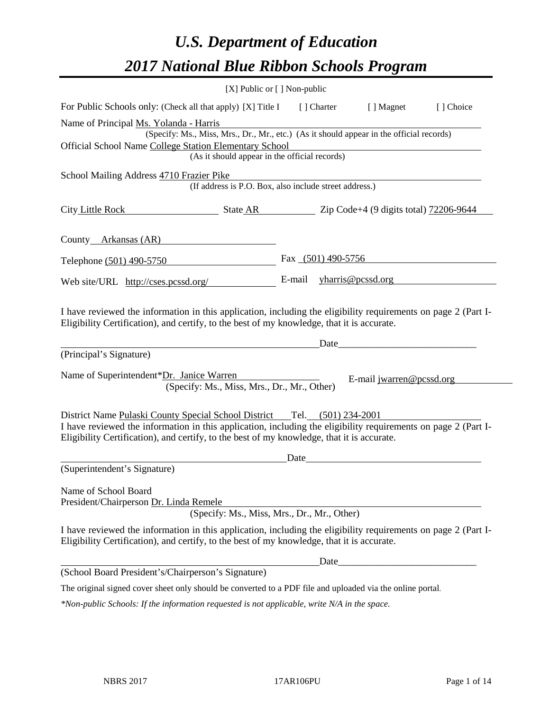# *U.S. Department of Education 2017 National Blue Ribbon Schools Program*

|                                                                                                                                                                                                                                                                                          | [X] Public or [] Non-public |                      |                                                                                                                                                                                                                                |           |
|------------------------------------------------------------------------------------------------------------------------------------------------------------------------------------------------------------------------------------------------------------------------------------------|-----------------------------|----------------------|--------------------------------------------------------------------------------------------------------------------------------------------------------------------------------------------------------------------------------|-----------|
| For Public Schools only: (Check all that apply) [X] Title I                                                                                                                                                                                                                              |                             | [ ] Charter          | [ ] Magnet                                                                                                                                                                                                                     | [] Choice |
| Name of Principal Ms. Yolanda - Harris<br>(Specify: Ms., Miss, Mrs., Dr., Mr., etc.) (As it should appear in the official records)                                                                                                                                                       |                             |                      |                                                                                                                                                                                                                                |           |
| Official School Name College Station Elementary School<br>(As it should appear in the official records)                                                                                                                                                                                  |                             |                      |                                                                                                                                                                                                                                |           |
| School Mailing Address 4710 Frazier Pike<br>(If address is P.O. Box, also include street address.)                                                                                                                                                                                       |                             |                      |                                                                                                                                                                                                                                |           |
| City Little Rock<br>$\frac{1}{2206-9644}$ $\frac{1}{2206-9644}$ $\frac{1}{2206-9644}$                                                                                                                                                                                                    |                             |                      |                                                                                                                                                                                                                                |           |
| County Arkansas (AR)                                                                                                                                                                                                                                                                     |                             |                      |                                                                                                                                                                                                                                |           |
| Telephone (501) 490-5750                                                                                                                                                                                                                                                                 |                             | Fax $(501)$ 490-5756 |                                                                                                                                                                                                                                |           |
| Web site/URL http://cses.pcssd.org/                                                                                                                                                                                                                                                      | E-mail                      |                      | $y$ harris@pcssd.org                                                                                                                                                                                                           |           |
| I have reviewed the information in this application, including the eligibility requirements on page 2 (Part I-<br>Eligibility Certification), and certify, to the best of my knowledge, that it is accurate.<br>(Principal's Signature)                                                  |                             |                      | Date and the contract of the contract of the contract of the contract of the contract of the contract of the contract of the contract of the contract of the contract of the contract of the contract of the contract of the c |           |
| Name of Superintendent*Dr. Janice Warren<br>(Specify: Ms., Miss, Mrs., Dr., Mr., Other)                                                                                                                                                                                                  |                             |                      | E-mail jwarren@pcssd.org                                                                                                                                                                                                       |           |
| District Name Pulaski County Special School District Tel. (501) 234-2001<br>I have reviewed the information in this application, including the eligibility requirements on page 2 (Part I-<br>Eligibility Certification), and certify, to the best of my knowledge, that it is accurate. | Date                        |                      |                                                                                                                                                                                                                                |           |
| (Superintendent's Signature)                                                                                                                                                                                                                                                             |                             |                      |                                                                                                                                                                                                                                |           |
| Name of School Board<br>President/Chairperson Dr. Linda Remele<br>(Specify: Ms., Miss, Mrs., Dr., Mr., Other)                                                                                                                                                                            |                             |                      |                                                                                                                                                                                                                                |           |
| I have reviewed the information in this application, including the eligibility requirements on page 2 (Part I-<br>Eligibility Certification), and certify, to the best of my knowledge, that it is accurate.                                                                             |                             |                      |                                                                                                                                                                                                                                |           |
|                                                                                                                                                                                                                                                                                          |                             | Date_                |                                                                                                                                                                                                                                |           |
| (School Board President's/Chairperson's Signature)                                                                                                                                                                                                                                       |                             |                      |                                                                                                                                                                                                                                |           |
| The original signed cover sheet only should be converted to a PDF file and uploaded via the online portal.                                                                                                                                                                               |                             |                      |                                                                                                                                                                                                                                |           |
| *Non-public Schools: If the information requested is not applicable, write N/A in the space.                                                                                                                                                                                             |                             |                      |                                                                                                                                                                                                                                |           |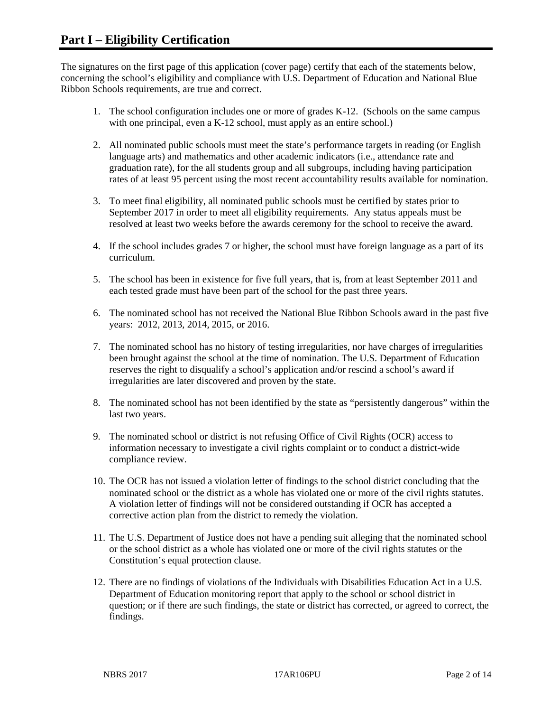The signatures on the first page of this application (cover page) certify that each of the statements below, concerning the school's eligibility and compliance with U.S. Department of Education and National Blue Ribbon Schools requirements, are true and correct.

- 1. The school configuration includes one or more of grades K-12. (Schools on the same campus with one principal, even a K-12 school, must apply as an entire school.)
- 2. All nominated public schools must meet the state's performance targets in reading (or English language arts) and mathematics and other academic indicators (i.e., attendance rate and graduation rate), for the all students group and all subgroups, including having participation rates of at least 95 percent using the most recent accountability results available for nomination.
- 3. To meet final eligibility, all nominated public schools must be certified by states prior to September 2017 in order to meet all eligibility requirements. Any status appeals must be resolved at least two weeks before the awards ceremony for the school to receive the award.
- 4. If the school includes grades 7 or higher, the school must have foreign language as a part of its curriculum.
- 5. The school has been in existence for five full years, that is, from at least September 2011 and each tested grade must have been part of the school for the past three years.
- 6. The nominated school has not received the National Blue Ribbon Schools award in the past five years: 2012, 2013, 2014, 2015, or 2016.
- 7. The nominated school has no history of testing irregularities, nor have charges of irregularities been brought against the school at the time of nomination. The U.S. Department of Education reserves the right to disqualify a school's application and/or rescind a school's award if irregularities are later discovered and proven by the state.
- 8. The nominated school has not been identified by the state as "persistently dangerous" within the last two years.
- 9. The nominated school or district is not refusing Office of Civil Rights (OCR) access to information necessary to investigate a civil rights complaint or to conduct a district-wide compliance review.
- 10. The OCR has not issued a violation letter of findings to the school district concluding that the nominated school or the district as a whole has violated one or more of the civil rights statutes. A violation letter of findings will not be considered outstanding if OCR has accepted a corrective action plan from the district to remedy the violation.
- 11. The U.S. Department of Justice does not have a pending suit alleging that the nominated school or the school district as a whole has violated one or more of the civil rights statutes or the Constitution's equal protection clause.
- 12. There are no findings of violations of the Individuals with Disabilities Education Act in a U.S. Department of Education monitoring report that apply to the school or school district in question; or if there are such findings, the state or district has corrected, or agreed to correct, the findings.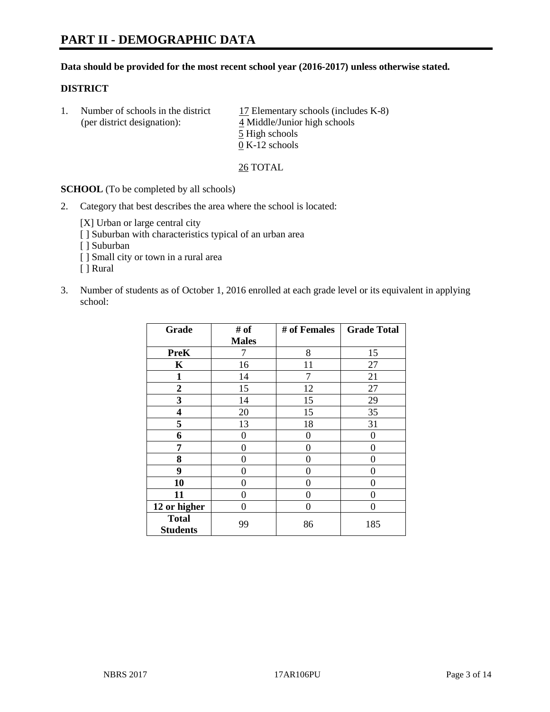#### **Data should be provided for the most recent school year (2016-2017) unless otherwise stated.**

#### **DISTRICT**

|  | Number of schools in the district<br>(per district designation): | 17 Elementary schools (includes K-8)<br>4 Middle/Junior high schools |
|--|------------------------------------------------------------------|----------------------------------------------------------------------|
|  |                                                                  | 5 High schools                                                       |
|  |                                                                  | $0 K-12$ schools                                                     |

26 TOTAL

**SCHOOL** (To be completed by all schools)

2. Category that best describes the area where the school is located:

[X] Urban or large central city [ ] Suburban with characteristics typical of an urban area [ ] Suburban

- [ ] Small city or town in a rural area
- [ ] Rural
- 3. Number of students as of October 1, 2016 enrolled at each grade level or its equivalent in applying school:

| Grade                           | # of         | # of Females | <b>Grade Total</b> |
|---------------------------------|--------------|--------------|--------------------|
|                                 | <b>Males</b> |              |                    |
| <b>PreK</b>                     | 7            | 8            | 15                 |
| $\mathbf K$                     | 16           | 11           | 27                 |
| $\mathbf{1}$                    | 14           | 7            | 21                 |
| $\overline{2}$                  | 15           | 12           | 27                 |
| 3                               | 14           | 15           | 29                 |
| 4                               | 20           | 15           | 35                 |
| 5                               | 13           | 18           | 31                 |
| 6                               | 0            | 0            | 0                  |
| 7                               | 0            | 0            | 0                  |
| 8                               | 0            | 0            | 0                  |
| 9                               | 0            | 0            | 0                  |
| 10                              | 0            | 0            | 0                  |
| 11                              | 0            | 0            | $\mathbf{\Omega}$  |
| 12 or higher                    | 0            | 0            | 0                  |
| <b>Total</b><br><b>Students</b> | 99           | 86           | 185                |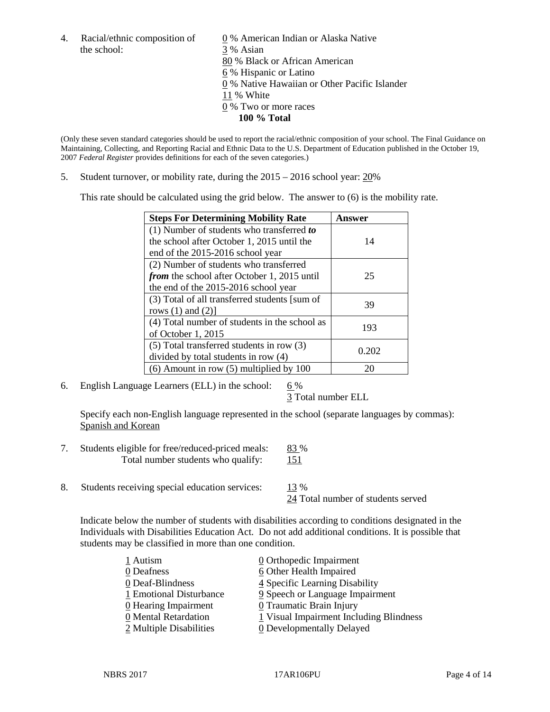the school: 3 % Asian

4. Racial/ethnic composition of  $\qquad \qquad \underline{0}$  % American Indian or Alaska Native 80 % Black or African American 6 % Hispanic or Latino 0 % Native Hawaiian or Other Pacific Islander 11 % White 0 % Two or more races **100 % Total**

(Only these seven standard categories should be used to report the racial/ethnic composition of your school. The Final Guidance on Maintaining, Collecting, and Reporting Racial and Ethnic Data to the U.S. Department of Education published in the October 19, 2007 *Federal Register* provides definitions for each of the seven categories.)

5. Student turnover, or mobility rate, during the 2015 – 2016 school year: 20%

This rate should be calculated using the grid below. The answer to (6) is the mobility rate.

| <b>Steps For Determining Mobility Rate</b>         | Answer |
|----------------------------------------------------|--------|
| (1) Number of students who transferred to          |        |
| the school after October 1, 2015 until the         | 14     |
| end of the 2015-2016 school year                   |        |
| (2) Number of students who transferred             |        |
| <i>from</i> the school after October 1, 2015 until | 25     |
| the end of the 2015-2016 school year               |        |
| (3) Total of all transferred students [sum of      | 39     |
| rows $(1)$ and $(2)$ ]                             |        |
| (4) Total number of students in the school as      | 193    |
| of October 1, 2015                                 |        |
| (5) Total transferred students in row (3)          | 0.202  |
| divided by total students in row (4)               |        |
| $(6)$ Amount in row $(5)$ multiplied by 100        | 20     |

6. English Language Learners (ELL) in the school:  $6\%$ 

3 Total number ELL

Specify each non-English language represented in the school (separate languages by commas): Spanish and Korean

- 7. Students eligible for free/reduced-priced meals: 83 % Total number students who qualify: 151
- 8. Students receiving special education services: 13 %

24 Total number of students served

Indicate below the number of students with disabilities according to conditions designated in the Individuals with Disabilities Education Act. Do not add additional conditions. It is possible that students may be classified in more than one condition.

| 1 Autism                | 0 Orthopedic Impairment                 |
|-------------------------|-----------------------------------------|
| 0 Deafness              | 6 Other Health Impaired                 |
| 0 Deaf-Blindness        | 4 Specific Learning Disability          |
| 1 Emotional Disturbance | 9 Speech or Language Impairment         |
| 0 Hearing Impairment    | 0 Traumatic Brain Injury                |
| 0 Mental Retardation    | 1 Visual Impairment Including Blindness |
| 2 Multiple Disabilities | <b>0</b> Developmentally Delayed        |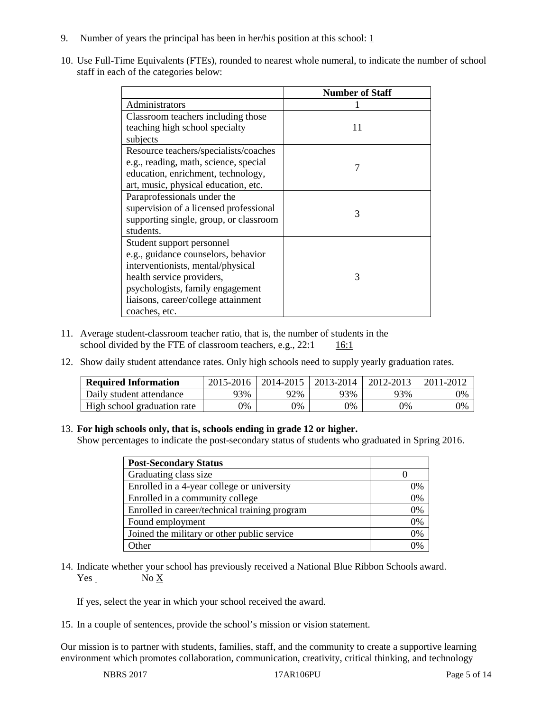- 9. Number of years the principal has been in her/his position at this school:  $1$
- 10. Use Full-Time Equivalents (FTEs), rounded to nearest whole numeral, to indicate the number of school staff in each of the categories below:

|                                        | <b>Number of Staff</b> |
|----------------------------------------|------------------------|
| Administrators                         |                        |
| Classroom teachers including those     |                        |
| teaching high school specialty         | 11                     |
| subjects                               |                        |
| Resource teachers/specialists/coaches  |                        |
| e.g., reading, math, science, special  | 7                      |
| education, enrichment, technology,     |                        |
| art, music, physical education, etc.   |                        |
| Paraprofessionals under the            |                        |
| supervision of a licensed professional | 3                      |
| supporting single, group, or classroom |                        |
| students.                              |                        |
| Student support personnel              |                        |
| e.g., guidance counselors, behavior    |                        |
| interventionists, mental/physical      |                        |
| health service providers,              | 3                      |
| psychologists, family engagement       |                        |
| liaisons, career/college attainment    |                        |
| coaches, etc.                          |                        |

- 11. Average student-classroom teacher ratio, that is, the number of students in the school divided by the FTE of classroom teachers, e.g.,  $22:1$  16:1
- 12. Show daily student attendance rates. Only high schools need to supply yearly graduation rates.

| <b>Required Information</b> | 2015-2016 | 2014-2015 | 2013-2014 | 2012-2013 |    |
|-----------------------------|-----------|-----------|-----------|-----------|----|
| Daily student attendance    | 93%       | 92%       | 93%       | 93%       | 0% |
| High school graduation rate | 0%        | 0%        | 0%        | 9%        | 0% |

#### 13. **For high schools only, that is, schools ending in grade 12 or higher.**

Show percentages to indicate the post-secondary status of students who graduated in Spring 2016.

| <b>Post-Secondary Status</b>                  |    |
|-----------------------------------------------|----|
| Graduating class size                         |    |
| Enrolled in a 4-year college or university    | 0% |
| Enrolled in a community college               | 0% |
| Enrolled in career/technical training program | 0% |
| Found employment                              | 0% |
| Joined the military or other public service   | 0% |
| )ther                                         | 0/ |

14. Indicate whether your school has previously received a National Blue Ribbon Schools award. Yes No X

If yes, select the year in which your school received the award.

15. In a couple of sentences, provide the school's mission or vision statement.

Our mission is to partner with students, families, staff, and the community to create a supportive learning environment which promotes collaboration, communication, creativity, critical thinking, and technology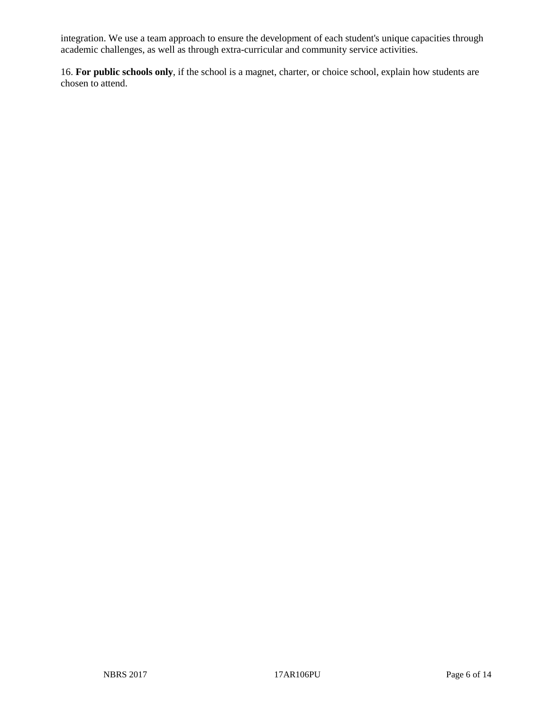integration. We use a team approach to ensure the development of each student's unique capacities through academic challenges, as well as through extra-curricular and community service activities.

16. **For public schools only**, if the school is a magnet, charter, or choice school, explain how students are chosen to attend.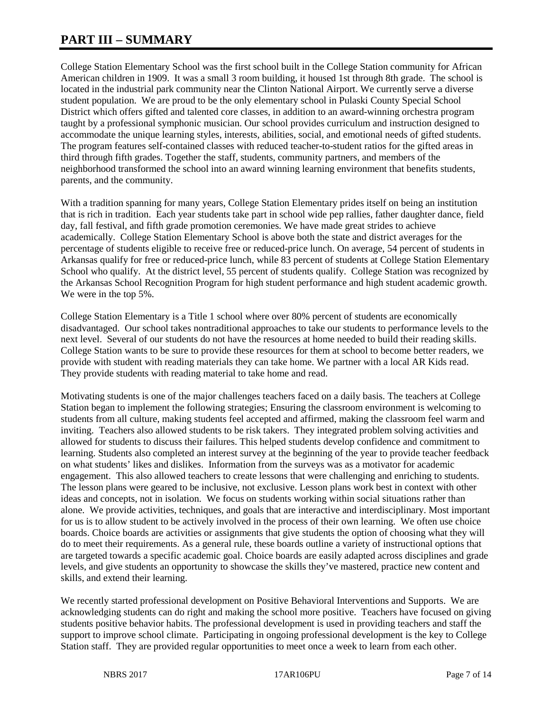# **PART III – SUMMARY**

College Station Elementary School was the first school built in the College Station community for African American children in 1909. It was a small 3 room building, it housed 1st through 8th grade. The school is located in the industrial park community near the Clinton National Airport. We currently serve a diverse student population. We are proud to be the only elementary school in Pulaski County Special School District which offers gifted and talented core classes, in addition to an award-winning orchestra program taught by a professional symphonic musician. Our school provides curriculum and instruction designed to accommodate the unique learning styles, interests, abilities, social, and emotional needs of gifted students. The program features self-contained classes with reduced teacher-to-student ratios for the gifted areas in third through fifth grades. Together the staff, students, community partners, and members of the neighborhood transformed the school into an award winning learning environment that benefits students, parents, and the community.

With a tradition spanning for many years, College Station Elementary prides itself on being an institution that is rich in tradition. Each year students take part in school wide pep rallies, father daughter dance, field day, fall festival, and fifth grade promotion ceremonies. We have made great strides to achieve academically. College Station Elementary School is above both the state and district averages for the percentage of students eligible to receive free or reduced-price lunch. On average, 54 percent of students in Arkansas qualify for free or reduced-price lunch, while 83 percent of students at College Station Elementary School who qualify. At the district level, 55 percent of students qualify. College Station was recognized by the Arkansas School Recognition Program for high student performance and high student academic growth. We were in the top 5%.

College Station Elementary is a Title 1 school where over 80% percent of students are economically disadvantaged. Our school takes nontraditional approaches to take our students to performance levels to the next level. Several of our students do not have the resources at home needed to build their reading skills. College Station wants to be sure to provide these resources for them at school to become better readers, we provide with student with reading materials they can take home. We partner with a local AR Kids read. They provide students with reading material to take home and read.

Motivating students is one of the major challenges teachers faced on a daily basis. The teachers at College Station began to implement the following strategies; Ensuring the classroom environment is welcoming to students from all culture, making students feel accepted and affirmed, making the classroom feel warm and inviting. Teachers also allowed students to be risk takers. They integrated problem solving activities and allowed for students to discuss their failures. This helped students develop confidence and commitment to learning. Students also completed an interest survey at the beginning of the year to provide teacher feedback on what students' likes and dislikes. Information from the surveys was as a motivator for academic engagement. This also allowed teachers to create lessons that were challenging and enriching to students. The lesson plans were geared to be inclusive, not exclusive. Lesson plans work best in context with other ideas and concepts, not in isolation. We focus on students working within social situations rather than alone. We provide activities, techniques, and goals that are interactive and interdisciplinary. Most important for us is to allow student to be actively involved in the process of their own learning. We often use choice boards. Choice boards are activities or assignments that give students the option of choosing what they will do to meet their requirements. As a general rule, these boards outline a variety of instructional options that are targeted towards a specific academic goal. Choice boards are easily adapted across disciplines and grade levels, and give students an opportunity to showcase the skills they've mastered, practice new content and skills, and extend their learning.

We recently started professional development on Positive Behavioral Interventions and Supports. We are acknowledging students can do right and making the school more positive. Teachers have focused on giving students positive behavior habits. The professional development is used in providing teachers and staff the support to improve school climate. Participating in ongoing professional development is the key to College Station staff. They are provided regular opportunities to meet once a week to learn from each other.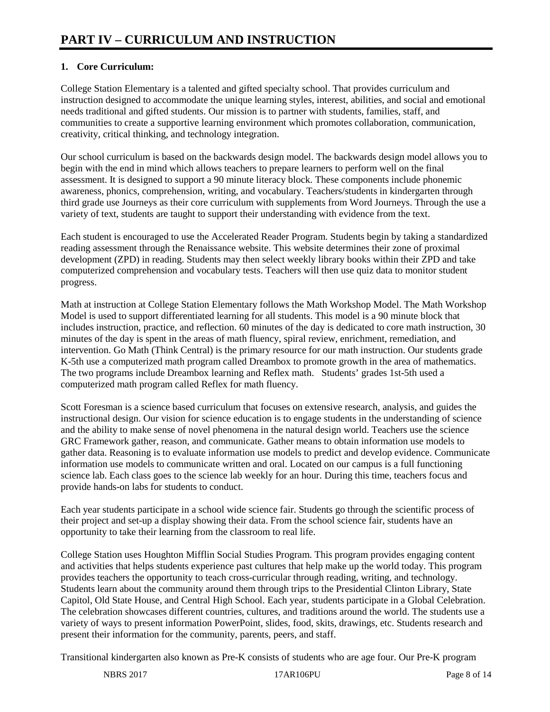# **1. Core Curriculum:**

College Station Elementary is a talented and gifted specialty school. That provides curriculum and instruction designed to accommodate the unique learning styles, interest, abilities, and social and emotional needs traditional and gifted students. Our mission is to partner with students, families, staff, and communities to create a supportive learning environment which promotes collaboration, communication, creativity, critical thinking, and technology integration.

Our school curriculum is based on the backwards design model. The backwards design model allows you to begin with the end in mind which allows teachers to prepare learners to perform well on the final assessment. It is designed to support a 90 minute literacy block. These components include phonemic awareness, phonics, comprehension, writing, and vocabulary. Teachers/students in kindergarten through third grade use Journeys as their core curriculum with supplements from Word Journeys. Through the use a variety of text, students are taught to support their understanding with evidence from the text.

Each student is encouraged to use the Accelerated Reader Program. Students begin by taking a standardized reading assessment through the Renaissance website. This website determines their zone of proximal development (ZPD) in reading. Students may then select weekly library books within their ZPD and take computerized comprehension and vocabulary tests. Teachers will then use quiz data to monitor student progress.

Math at instruction at College Station Elementary follows the Math Workshop Model. The Math Workshop Model is used to support differentiated learning for all students. This model is a 90 minute block that includes instruction, practice, and reflection. 60 minutes of the day is dedicated to core math instruction, 30 minutes of the day is spent in the areas of math fluency, spiral review, enrichment, remediation, and intervention. Go Math (Think Central) is the primary resource for our math instruction. Our students grade K-5th use a computerized math program called Dreambox to promote growth in the area of mathematics. The two programs include Dreambox learning and Reflex math. Students' grades 1st-5th used a computerized math program called Reflex for math fluency.

Scott Foresman is a science based curriculum that focuses on extensive research, analysis, and guides the instructional design. Our vision for science education is to engage students in the understanding of science and the ability to make sense of novel phenomena in the natural design world. Teachers use the science GRC Framework gather, reason, and communicate. Gather means to obtain information use models to gather data. Reasoning is to evaluate information use models to predict and develop evidence. Communicate information use models to communicate written and oral. Located on our campus is a full functioning science lab. Each class goes to the science lab weekly for an hour. During this time, teachers focus and provide hands-on labs for students to conduct.

Each year students participate in a school wide science fair. Students go through the scientific process of their project and set-up a display showing their data. From the school science fair, students have an opportunity to take their learning from the classroom to real life.

College Station uses Houghton Mifflin Social Studies Program. This program provides engaging content and activities that helps students experience past cultures that help make up the world today. This program provides teachers the opportunity to teach cross-curricular through reading, writing, and technology. Students learn about the community around them through trips to the Presidential Clinton Library, State Capitol, Old State House, and Central High School. Each year, students participate in a Global Celebration. The celebration showcases different countries, cultures, and traditions around the world. The students use a variety of ways to present information PowerPoint, slides, food, skits, drawings, etc. Students research and present their information for the community, parents, peers, and staff.

Transitional kindergarten also known as Pre-K consists of students who are age four. Our Pre-K program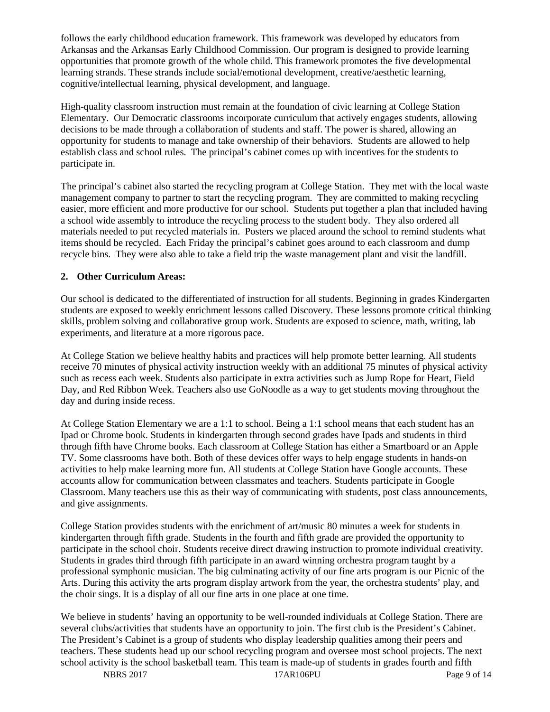follows the early childhood education framework. This framework was developed by educators from Arkansas and the Arkansas Early Childhood Commission. Our program is designed to provide learning opportunities that promote growth of the whole child. This framework promotes the five developmental learning strands. These strands include social/emotional development, creative/aesthetic learning, cognitive/intellectual learning, physical development, and language.

High-quality classroom instruction must remain at the foundation of civic learning at College Station Elementary. Our Democratic classrooms incorporate curriculum that actively engages students, allowing decisions to be made through a collaboration of students and staff. The power is shared, allowing an opportunity for students to manage and take ownership of their behaviors. Students are allowed to help establish class and school rules. The principal's cabinet comes up with incentives for the students to participate in.

The principal's cabinet also started the recycling program at College Station. They met with the local waste management company to partner to start the recycling program. They are committed to making recycling easier, more efficient and more productive for our school. Students put together a plan that included having a school wide assembly to introduce the recycling process to the student body. They also ordered all materials needed to put recycled materials in. Posters we placed around the school to remind students what items should be recycled. Each Friday the principal's cabinet goes around to each classroom and dump recycle bins. They were also able to take a field trip the waste management plant and visit the landfill.

#### **2. Other Curriculum Areas:**

Our school is dedicated to the differentiated of instruction for all students. Beginning in grades Kindergarten students are exposed to weekly enrichment lessons called Discovery. These lessons promote critical thinking skills, problem solving and collaborative group work. Students are exposed to science, math, writing, lab experiments, and literature at a more rigorous pace.

At College Station we believe healthy habits and practices will help promote better learning. All students receive 70 minutes of physical activity instruction weekly with an additional 75 minutes of physical activity such as recess each week. Students also participate in extra activities such as Jump Rope for Heart, Field Day, and Red Ribbon Week. Teachers also use GoNoodle as a way to get students moving throughout the day and during inside recess.

At College Station Elementary we are a 1:1 to school. Being a 1:1 school means that each student has an Ipad or Chrome book. Students in kindergarten through second grades have Ipads and students in third through fifth have Chrome books. Each classroom at College Station has either a Smartboard or an Apple TV. Some classrooms have both. Both of these devices offer ways to help engage students in hands-on activities to help make learning more fun. All students at College Station have Google accounts. These accounts allow for communication between classmates and teachers. Students participate in Google Classroom. Many teachers use this as their way of communicating with students, post class announcements, and give assignments.

College Station provides students with the enrichment of art/music 80 minutes a week for students in kindergarten through fifth grade. Students in the fourth and fifth grade are provided the opportunity to participate in the school choir. Students receive direct drawing instruction to promote individual creativity. Students in grades third through fifth participate in an award winning orchestra program taught by a professional symphonic musician. The big culminating activity of our fine arts program is our Picnic of the Arts. During this activity the arts program display artwork from the year, the orchestra students' play, and the choir sings. It is a display of all our fine arts in one place at one time.

We believe in students' having an opportunity to be well-rounded individuals at College Station. There are several clubs/activities that students have an opportunity to join. The first club is the President's Cabinet. The President's Cabinet is a group of students who display leadership qualities among their peers and teachers. These students head up our school recycling program and oversee most school projects. The next school activity is the school basketball team. This team is made-up of students in grades fourth and fifth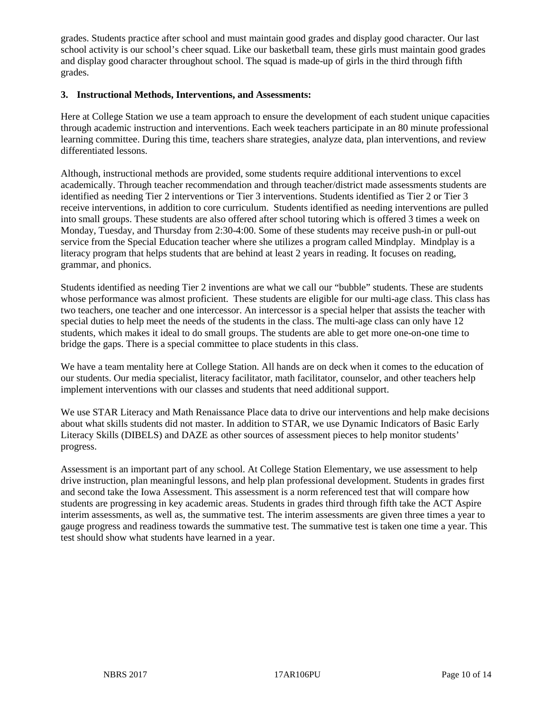grades. Students practice after school and must maintain good grades and display good character. Our last school activity is our school's cheer squad. Like our basketball team, these girls must maintain good grades and display good character throughout school. The squad is made-up of girls in the third through fifth grades.

#### **3. Instructional Methods, Interventions, and Assessments:**

Here at College Station we use a team approach to ensure the development of each student unique capacities through academic instruction and interventions. Each week teachers participate in an 80 minute professional learning committee. During this time, teachers share strategies, analyze data, plan interventions, and review differentiated lessons.

Although, instructional methods are provided, some students require additional interventions to excel academically. Through teacher recommendation and through teacher/district made assessments students are identified as needing Tier 2 interventions or Tier 3 interventions. Students identified as Tier 2 or Tier 3 receive interventions, in addition to core curriculum. Students identified as needing interventions are pulled into small groups. These students are also offered after school tutoring which is offered 3 times a week on Monday, Tuesday, and Thursday from 2:30-4:00. Some of these students may receive push-in or pull-out service from the Special Education teacher where she utilizes a program called Mindplay. Mindplay is a literacy program that helps students that are behind at least 2 years in reading. It focuses on reading, grammar, and phonics.

Students identified as needing Tier 2 inventions are what we call our "bubble" students. These are students whose performance was almost proficient. These students are eligible for our multi-age class. This class has two teachers, one teacher and one intercessor. An intercessor is a special helper that assists the teacher with special duties to help meet the needs of the students in the class. The multi-age class can only have 12 students, which makes it ideal to do small groups. The students are able to get more one-on-one time to bridge the gaps. There is a special committee to place students in this class.

We have a team mentality here at College Station. All hands are on deck when it comes to the education of our students. Our media specialist, literacy facilitator, math facilitator, counselor, and other teachers help implement interventions with our classes and students that need additional support.

We use STAR Literacy and Math Renaissance Place data to drive our interventions and help make decisions about what skills students did not master. In addition to STAR, we use Dynamic Indicators of Basic Early Literacy Skills (DIBELS) and DAZE as other sources of assessment pieces to help monitor students' progress.

Assessment is an important part of any school. At College Station Elementary, we use assessment to help drive instruction, plan meaningful lessons, and help plan professional development. Students in grades first and second take the Iowa Assessment. This assessment is a norm referenced test that will compare how students are progressing in key academic areas. Students in grades third through fifth take the ACT Aspire interim assessments, as well as, the summative test. The interim assessments are given three times a year to gauge progress and readiness towards the summative test. The summative test is taken one time a year. This test should show what students have learned in a year.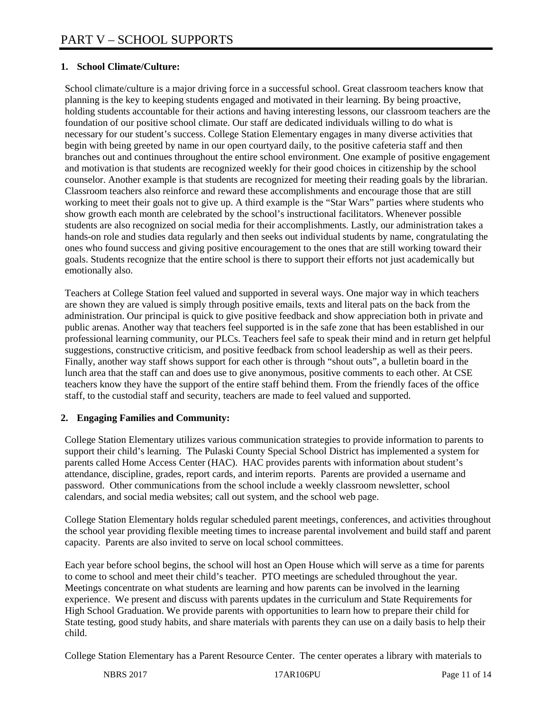## **1. School Climate/Culture:**

School climate/culture is a major driving force in a successful school. Great classroom teachers know that planning is the key to keeping students engaged and motivated in their learning. By being proactive, holding students accountable for their actions and having interesting lessons, our classroom teachers are the foundation of our positive school climate. Our staff are dedicated individuals willing to do what is necessary for our student's success. College Station Elementary engages in many diverse activities that begin with being greeted by name in our open courtyard daily, to the positive cafeteria staff and then branches out and continues throughout the entire school environment. One example of positive engagement and motivation is that students are recognized weekly for their good choices in citizenship by the school counselor. Another example is that students are recognized for meeting their reading goals by the librarian. Classroom teachers also reinforce and reward these accomplishments and encourage those that are still working to meet their goals not to give up. A third example is the "Star Wars" parties where students who show growth each month are celebrated by the school's instructional facilitators. Whenever possible students are also recognized on social media for their accomplishments. Lastly, our administration takes a hands-on role and studies data regularly and then seeks out individual students by name, congratulating the ones who found success and giving positive encouragement to the ones that are still working toward their goals. Students recognize that the entire school is there to support their efforts not just academically but emotionally also.

Teachers at College Station feel valued and supported in several ways. One major way in which teachers are shown they are valued is simply through positive emails, texts and literal pats on the back from the administration. Our principal is quick to give positive feedback and show appreciation both in private and public arenas. Another way that teachers feel supported is in the safe zone that has been established in our professional learning community, our PLCs. Teachers feel safe to speak their mind and in return get helpful suggestions, constructive criticism, and positive feedback from school leadership as well as their peers. Finally, another way staff shows support for each other is through "shout outs", a bulletin board in the lunch area that the staff can and does use to give anonymous, positive comments to each other. At CSE teachers know they have the support of the entire staff behind them. From the friendly faces of the office staff, to the custodial staff and security, teachers are made to feel valued and supported.

#### **2. Engaging Families and Community:**

College Station Elementary utilizes various communication strategies to provide information to parents to support their child's learning. The Pulaski County Special School District has implemented a system for parents called Home Access Center (HAC). HAC provides parents with information about student's attendance, discipline, grades, report cards, and interim reports. Parents are provided a username and password. Other communications from the school include a weekly classroom newsletter, school calendars, and social media websites; call out system, and the school web page.

College Station Elementary holds regular scheduled parent meetings, conferences, and activities throughout the school year providing flexible meeting times to increase parental involvement and build staff and parent capacity. Parents are also invited to serve on local school committees.

Each year before school begins, the school will host an Open House which will serve as a time for parents to come to school and meet their child's teacher. PTO meetings are scheduled throughout the year. Meetings concentrate on what students are learning and how parents can be involved in the learning experience. We present and discuss with parents updates in the curriculum and State Requirements for High School Graduation. We provide parents with opportunities to learn how to prepare their child for State testing, good study habits, and share materials with parents they can use on a daily basis to help their child.

College Station Elementary has a Parent Resource Center. The center operates a library with materials to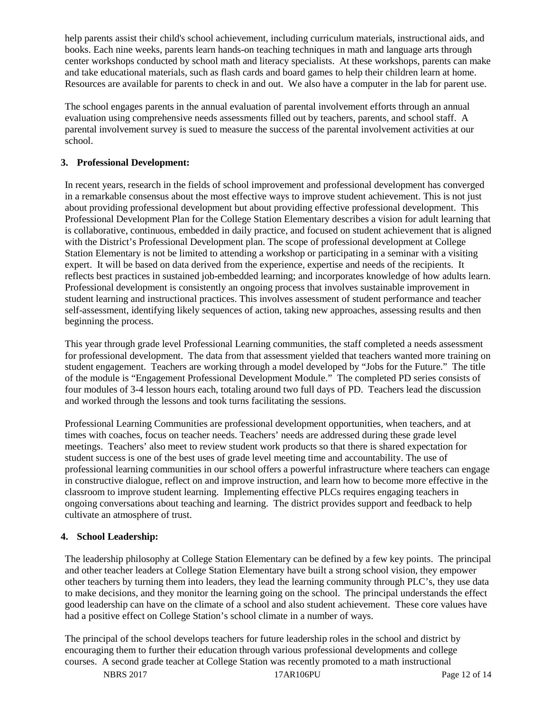help parents assist their child's school achievement, including curriculum materials, instructional aids, and books. Each nine weeks, parents learn hands-on teaching techniques in math and language arts through center workshops conducted by school math and literacy specialists. At these workshops, parents can make and take educational materials, such as flash cards and board games to help their children learn at home. Resources are available for parents to check in and out. We also have a computer in the lab for parent use.

The school engages parents in the annual evaluation of parental involvement efforts through an annual evaluation using comprehensive needs assessments filled out by teachers, parents, and school staff. A parental involvement survey is sued to measure the success of the parental involvement activities at our school.

## **3. Professional Development:**

In recent years, research in the fields of school improvement and professional development has converged in a remarkable consensus about the most effective ways to improve student achievement. This is not just about providing professional development but about providing effective professional development. This Professional Development Plan for the College Station Elementary describes a vision for adult learning that is collaborative, continuous, embedded in daily practice, and focused on student achievement that is aligned with the District's Professional Development plan. The scope of professional development at College Station Elementary is not be limited to attending a workshop or participating in a seminar with a visiting expert. It will be based on data derived from the experience, expertise and needs of the recipients. It reflects best practices in sustained job-embedded learning; and incorporates knowledge of how adults learn. Professional development is consistently an ongoing process that involves sustainable improvement in student learning and instructional practices. This involves assessment of student performance and teacher self-assessment, identifying likely sequences of action, taking new approaches, assessing results and then beginning the process.

This year through grade level Professional Learning communities, the staff completed a needs assessment for professional development. The data from that assessment yielded that teachers wanted more training on student engagement. Teachers are working through a model developed by "Jobs for the Future." The title of the module is "Engagement Professional Development Module." The completed PD series consists of four modules of 3-4 lesson hours each, totaling around two full days of PD. Teachers lead the discussion and worked through the lessons and took turns facilitating the sessions.

Professional Learning Communities are professional development opportunities, when teachers, and at times with coaches, focus on teacher needs. Teachers' needs are addressed during these grade level meetings. Teachers' also meet to review student work products so that there is shared expectation for student success is one of the best uses of grade level meeting time and accountability. The use of professional learning communities in our school offers a powerful infrastructure where teachers can engage in constructive dialogue, reflect on and improve instruction, and learn how to become more effective in the classroom to improve student learning. Implementing effective PLCs requires engaging teachers in ongoing conversations about teaching and learning. The district provides support and feedback to help cultivate an atmosphere of trust.

## **4. School Leadership:**

The leadership philosophy at College Station Elementary can be defined by a few key points. The principal and other teacher leaders at College Station Elementary have built a strong school vision, they empower other teachers by turning them into leaders, they lead the learning community through PLC's, they use data to make decisions, and they monitor the learning going on the school. The principal understands the effect good leadership can have on the climate of a school and also student achievement. These core values have had a positive effect on College Station's school climate in a number of ways.

The principal of the school develops teachers for future leadership roles in the school and district by encouraging them to further their education through various professional developments and college courses. A second grade teacher at College Station was recently promoted to a math instructional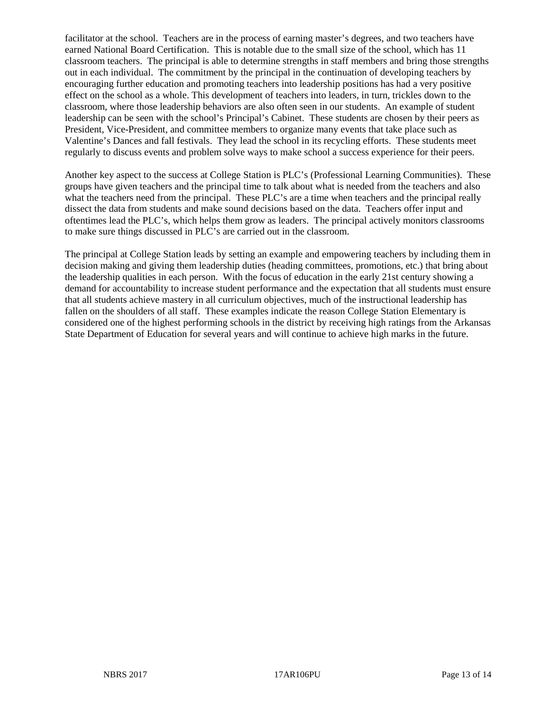facilitator at the school. Teachers are in the process of earning master's degrees, and two teachers have earned National Board Certification. This is notable due to the small size of the school, which has 11 classroom teachers. The principal is able to determine strengths in staff members and bring those strengths out in each individual. The commitment by the principal in the continuation of developing teachers by encouraging further education and promoting teachers into leadership positions has had a very positive effect on the school as a whole. This development of teachers into leaders, in turn, trickles down to the classroom, where those leadership behaviors are also often seen in our students. An example of student leadership can be seen with the school's Principal's Cabinet. These students are chosen by their peers as President, Vice-President, and committee members to organize many events that take place such as Valentine's Dances and fall festivals. They lead the school in its recycling efforts. These students meet regularly to discuss events and problem solve ways to make school a success experience for their peers.

Another key aspect to the success at College Station is PLC's (Professional Learning Communities). These groups have given teachers and the principal time to talk about what is needed from the teachers and also what the teachers need from the principal. These PLC's are a time when teachers and the principal really dissect the data from students and make sound decisions based on the data. Teachers offer input and oftentimes lead the PLC's, which helps them grow as leaders. The principal actively monitors classrooms to make sure things discussed in PLC's are carried out in the classroom.

The principal at College Station leads by setting an example and empowering teachers by including them in decision making and giving them leadership duties (heading committees, promotions, etc.) that bring about the leadership qualities in each person. With the focus of education in the early 21st century showing a demand for accountability to increase student performance and the expectation that all students must ensure that all students achieve mastery in all curriculum objectives, much of the instructional leadership has fallen on the shoulders of all staff. These examples indicate the reason College Station Elementary is considered one of the highest performing schools in the district by receiving high ratings from the Arkansas State Department of Education for several years and will continue to achieve high marks in the future.